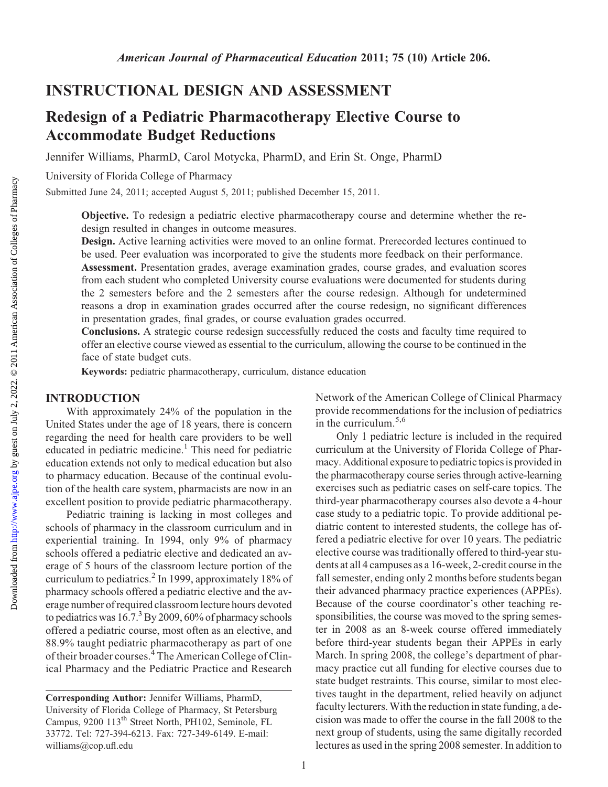INSTRUCTIONAL DESIGN AND ASSESSMENT

# Redesign of a Pediatric Pharmacotherapy Elective Course to

Accommodate Budget Reductions

Jennifer Williams, PharmD, Carol Motycka, PharmD, and Erin St. Onge, PharmD

University of Florida College of Pharmacy

Submitted June 24, 2011; accepted August 5, 2011; published December 15, 2011.

Objective. To redesign a pediatric elective pharmacotherapy course and determine whether the redesign resulted in changes in outcome measures.

Design. Active learning activities were moved to an online format. Prerecorded lectures continued to be used. Peer evaluation was incorporated to give the students more feedback on their performance.

Assessment. Presentation grades, average examination grades, course grades, and evaluation scores from each student who completed University course evaluations were documented for students during the 2 semesters before and the 2 semesters after the course redesign. Although for undetermined reasons a drop in examination grades occurred after the course redesign, no significant differences in presentation grades, final grades, or course evaluation grades occurred.

Conclusions. A strategic course redesign successfully reduced the costs and faculty time required to offer an elective course viewed as essential to the curriculum, allowing the course to be continued in the face of state budget cuts.

Keywords: pediatric pharmacotherapy, curriculum, distance education

## INTRODUCTION

With approximately 24% of the population in the United States under the age of 18 years, there is concern regarding the need for health care providers to be well educated in pediatric medicine.1 This need for pediatric education extends not only to medical education but also to pharmacy education. Because of the continual evolution of the health care system, pharmacists are now in an excellent position to provide pediatric pharmacotherapy.

Pediatric training is lacking in most colleges and schools of pharmacy in the classroom curriculum and in experiential training. In 1994, only 9% of pharmacy schools offered a pediatric elective and dedicated an average of 5 hours of the classroom lecture portion of the curriculum to pediatrics.<sup>2</sup> In 1999, approximately 18% of pharmacy schools offered a pediatric elective and the average number of required classroom lecture hours devoted to pediatrics was  $16.7<sup>3</sup>$  By 2009, 60% of pharmacy schools offered a pediatric course, most often as an elective, and 88.9% taught pediatric pharmacotherapy as part of one of their broader courses.<sup>4</sup> The American College of Clinical Pharmacy and the Pediatric Practice and Research

Network of the American College of Clinical Pharmacy provide recommendations for the inclusion of pediatrics in the curriculum.5,6

Only 1 pediatric lecture is included in the required curriculum at the University of Florida College of Pharmacy. Additional exposure to pediatric topics is provided in the pharmacotherapy course series through active-learning exercises such as pediatric cases on self-care topics. The third-year pharmacotherapy courses also devote a 4-hour case study to a pediatric topic. To provide additional pediatric content to interested students, the college has offered a pediatric elective for over 10 years. The pediatric elective course was traditionally offered to third-year students at all 4 campuses as a 16-week, 2-credit course in the fall semester, ending only 2 months before students began their advanced pharmacy practice experiences (APPEs). Because of the course coordinator's other teaching responsibilities, the course was moved to the spring semester in 2008 as an 8-week course offered immediately before third-year students began their APPEs in early March. In spring 2008, the college's department of pharmacy practice cut all funding for elective courses due to state budget restraints. This course, similar to most electives taught in the department, relied heavily on adjunct faculty lecturers.With the reduction in state funding, a decision was made to offer the course in the fall 2008 to the next group of students, using the same digitally recorded lectures as used in the spring 2008 semester. In addition to

1

Corresponding Author: Jennifer Williams, PharmD, University of Florida College of Pharmacy, St Petersburg Campus, 9200 113th Street North, PH102, Seminole, FL 33772. Tel: 727-394-6213. Fax: 727-349-6149. E-mail: williams@cop.ufl.edu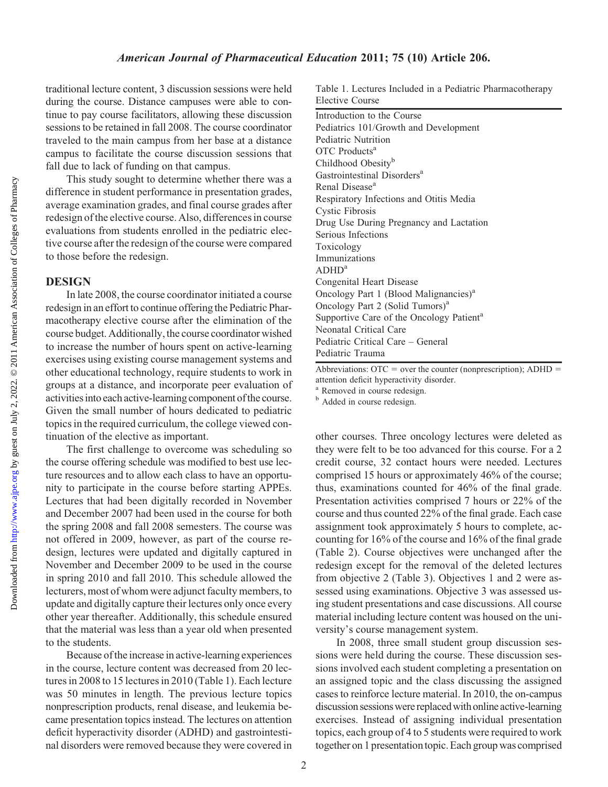Downloaded from

traditional lecture content, 3 discussion sessions were held during the course. Distance campuses were able to continue to pay course facilitators, allowing these discussion sessions to be retained in fall 2008. The course coordinator traveled to the main campus from her base at a distance campus to facilitate the course discussion sessions that fall due to lack of funding on that campus.

This study sought to determine whether there was a difference in student performance in presentation grades, average examination grades, and final course grades after redesign of the elective course. Also, differences in course evaluations from students enrolled in the pediatric elective course after the redesign of the course were compared to those before the redesign.

#### **DESIGN**

In late 2008, the course coordinator initiated a course redesign in an effort to continue offering the Pediatric Pharmacotherapy elective course after the elimination of the course budget. Additionally, the course coordinator wished to increase the number of hours spent on active-learning exercises using existing course management systems and other educational technology, require students to work in groups at a distance, and incorporate peer evaluation of activities into each active-learning component of the course. Given the small number of hours dedicated to pediatric topics in the required curriculum, the college viewed continuation of the elective as important.

The first challenge to overcome was scheduling so the course offering schedule was modified to best use lecture resources and to allow each class to have an opportunity to participate in the course before starting APPEs. Lectures that had been digitally recorded in November and December 2007 had been used in the course for both the spring 2008 and fall 2008 semesters. The course was not offered in 2009, however, as part of the course redesign, lectures were updated and digitally captured in November and December 2009 to be used in the course in spring 2010 and fall 2010. This schedule allowed the lecturers, most of whom were adjunct faculty members, to update and digitally capture their lectures only once every other year thereafter. Additionally, this schedule ensured that the material was less than a year old when presented to the students.

Because of the increase in active-learning experiences in the course, lecture content was decreased from 20 lectures in 2008 to 15 lectures in 2010 (Table 1). Each lecture was 50 minutes in length. The previous lecture topics nonprescription products, renal disease, and leukemia became presentation topics instead. The lectures on attention deficit hyperactivity disorder (ADHD) and gastrointestinal disorders were removed because they were covered in

Table 1. Lectures Included in a Pediatric Pharmacotherapy Elective Course

| Introduction to the Course                           |
|------------------------------------------------------|
| Pediatrics 101/Growth and Development                |
| Pediatric Nutrition                                  |
| OTC Products <sup>a</sup>                            |
| Childhood Obesity <sup>b</sup>                       |
| Gastrointestinal Disorders <sup>a</sup>              |
| Renal Disease <sup>a</sup>                           |
| Respiratory Infections and Otitis Media              |
| Cystic Fibrosis                                      |
| Drug Use During Pregnancy and Lactation              |
| Serious Infections                                   |
| Toxicology                                           |
| Immunizations                                        |
| ADHD <sup>a</sup>                                    |
| Congenital Heart Disease                             |
| Oncology Part 1 (Blood Malignancies) <sup>a</sup>    |
| Oncology Part 2 (Solid Tumors) <sup>a</sup>          |
| Supportive Care of the Oncology Patient <sup>a</sup> |
| Neonatal Critical Care                               |
| Pediatric Critical Care – General                    |
| Pediatric Trauma                                     |

Abbreviations:  $\overline{OTC}$  = over the counter (nonprescription);  $\overline{ADHD}$  = attention deficit hyperactivity disorder.

<sup>a</sup> Removed in course redesign.

<sup>b</sup> Added in course redesign.

other courses. Three oncology lectures were deleted as they were felt to be too advanced for this course. For a 2 credit course, 32 contact hours were needed. Lectures comprised 15 hours or approximately 46% of the course; thus, examinations counted for 46% of the final grade. Presentation activities comprised 7 hours or 22% of the course and thus counted 22% of the final grade. Each case assignment took approximately 5 hours to complete, accounting for 16% of the course and 16% of the final grade (Table 2). Course objectives were unchanged after the redesign except for the removal of the deleted lectures from objective 2 (Table 3). Objectives 1 and 2 were assessed using examinations. Objective 3 was assessed using student presentations and case discussions. All course material including lecture content was housed on the university's course management system.

In 2008, three small student group discussion sessions were held during the course. These discussion sessions involved each student completing a presentation on an assigned topic and the class discussing the assigned cases to reinforce lecture material. In 2010, the on-campus discussion sessions were replaced with online active-learning exercises. Instead of assigning individual presentation topics, each group of 4 to 5 students were required to work together on 1 presentationtopic. Each group was comprised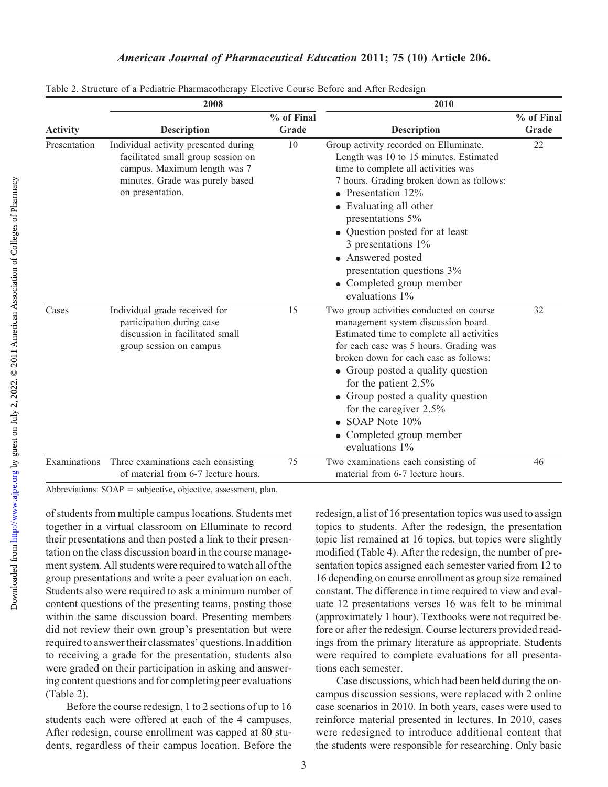|                 | 2008                                                                                                                                                              |                     | 2010                                                                                                                                                                                                                                                                                                                                                                                                                       |                     |  |  |
|-----------------|-------------------------------------------------------------------------------------------------------------------------------------------------------------------|---------------------|----------------------------------------------------------------------------------------------------------------------------------------------------------------------------------------------------------------------------------------------------------------------------------------------------------------------------------------------------------------------------------------------------------------------------|---------------------|--|--|
| <b>Activity</b> | <b>Description</b>                                                                                                                                                | % of Final<br>Grade | <b>Description</b>                                                                                                                                                                                                                                                                                                                                                                                                         | % of Final<br>Grade |  |  |
| Presentation    | Individual activity presented during<br>facilitated small group session on<br>campus. Maximum length was 7<br>minutes. Grade was purely based<br>on presentation. | 10                  | Group activity recorded on Elluminate.<br>Length was 10 to 15 minutes. Estimated<br>time to complete all activities was<br>7 hours. Grading broken down as follows:<br>• Presentation $12\%$<br>• Evaluating all other<br>presentations 5%<br>• Question posted for at least<br>3 presentations 1%<br>• Answered posted<br>presentation questions 3%<br>• Completed group member<br>evaluations 1%                         | 22                  |  |  |
| Cases           | Individual grade received for<br>participation during case<br>discussion in facilitated small<br>group session on campus                                          | 15                  | Two group activities conducted on course<br>management system discussion board.<br>Estimated time to complete all activities<br>for each case was 5 hours. Grading was<br>broken down for each case as follows:<br>• Group posted a quality question<br>for the patient $2.5\%$<br>• Group posted a quality question<br>for the caregiver $2.5\%$<br>$\bullet$ SOAP Note 10%<br>• Completed group member<br>evaluations 1% | 32                  |  |  |
| Examinations    | Three examinations each consisting<br>of material from 6-7 lecture hours.                                                                                         | 75                  | Two examinations each consisting of<br>material from 6-7 lecture hours.                                                                                                                                                                                                                                                                                                                                                    | 46                  |  |  |

|  | Table 2. Structure of a Pediatric Pharmacotherapy Elective Course Before and After Redesign |  |  |  |  |
|--|---------------------------------------------------------------------------------------------|--|--|--|--|
|  |                                                                                             |  |  |  |  |

Abbreviations:  $SOAP =$  subjective, objective, assessment, plan.

of students from multiple campus locations. Students met together in a virtual classroom on Elluminate to record their presentations and then posted a link to their presentation on the class discussion board in the course management system. All students were required to watch all of the group presentations and write a peer evaluation on each. Students also were required to ask a minimum number of content questions of the presenting teams, posting those within the same discussion board. Presenting members did not review their own group's presentation but were required to answer their classmates' questions. In addition to receiving a grade for the presentation, students also were graded on their participation in asking and answering content questions and for completing peer evaluations (Table 2).

Before the course redesign, 1 to 2 sections of up to 16 students each were offered at each of the 4 campuses. After redesign, course enrollment was capped at 80 students, regardless of their campus location. Before the

redesign, a list of 16 presentation topics was used to assign topics to students. After the redesign, the presentation topic list remained at 16 topics, but topics were slightly modified (Table 4). After the redesign, the number of presentation topics assigned each semester varied from 12 to 16 depending on course enrollment as group size remained constant. The difference in time required to view and evaluate 12 presentations verses 16 was felt to be minimal (approximately 1 hour). Textbooks were not required before or after the redesign. Course lecturers provided readings from the primary literature as appropriate. Students were required to complete evaluations for all presentations each semester.

Case discussions, which had been held during the oncampus discussion sessions, were replaced with 2 online case scenarios in 2010. In both years, cases were used to reinforce material presented in lectures. In 2010, cases were redesigned to introduce additional content that the students were responsible for researching. Only basic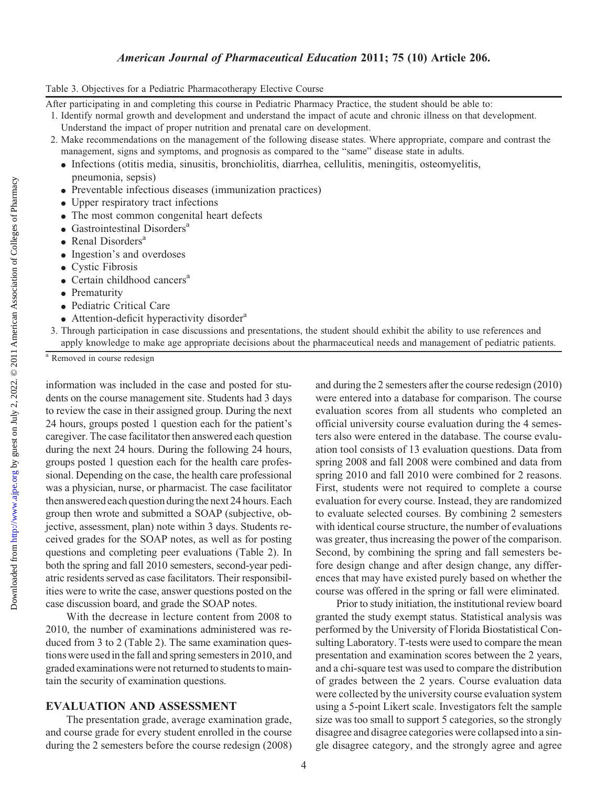Downloaded from

## American Journal of Pharmaceutical Education 2011; 75 (10) Article 206.

#### Table 3. Objectives for a Pediatric Pharmacotherapy Elective Course

After participating in and completing this course in Pediatric Pharmacy Practice, the student should be able to:

- 1. Identify normal growth and development and understand the impact of acute and chronic illness on that development. Understand the impact of proper nutrition and prenatal care on development.
- 2. Make recommendations on the management of the following disease states. Where appropriate, compare and contrast the management, signs and symptoms, and prognosis as compared to the "same" disease state in adults.
	- <sup>d</sup> Infections (otitis media, sinusitis, bronchiolitis, diarrhea, cellulitis, meningitis, osteomyelitis, pneumonia, sepsis)
	- Preventable infectious diseases (immunization practices)
	- Upper respiratory tract infections
	- The most common congenital heart defects
	- $\bullet$  Gastrointestinal Disorders<sup>a</sup>
	- $\bullet$  Renal Disorders<sup>a</sup>
	- Ingestion's and overdoses
	- Cystic Fibrosis
	- $\bullet$  Certain childhood cancers<sup>a</sup>
	- Prematurity
	- Pediatric Critical Care
	- $\bullet$  Attention-deficit hyperactivity disorder<sup>a</sup>
- 3. Through participation in case discussions and presentations, the student should exhibit the ability to use references and apply knowledge to make age appropriate decisions about the pharmaceutical needs and management of pediatric patients.

<sup>a</sup> Removed in course redesign

information was included in the case and posted for students on the course management site. Students had 3 days to review the case in their assigned group. During the next 24 hours, groups posted 1 question each for the patient's caregiver. The case facilitator then answered each question during the next 24 hours. During the following 24 hours, groups posted 1 question each for the health care professional. Depending on the case, the health care professional was a physician, nurse, or pharmacist. The case facilitator then answered each question during the next 24 hours. Each group then wrote and submitted a SOAP (subjective, objective, assessment, plan) note within 3 days. Students received grades for the SOAP notes, as well as for posting questions and completing peer evaluations (Table 2). In both the spring and fall 2010 semesters, second-year pediatric residents served as case facilitators. Their responsibilities were to write the case, answer questions posted on the case discussion board, and grade the SOAP notes.

With the decrease in lecture content from 2008 to 2010, the number of examinations administered was reduced from 3 to 2 (Table 2). The same examination questions were usedin the fall and spring semesters in 2010, and graded examinations were not returned to students to maintain the security of examination questions.

#### EVALUATION AND ASSESSMENT

The presentation grade, average examination grade, and course grade for every student enrolled in the course during the 2 semesters before the course redesign (2008) and during the 2 semesters after the course redesign (2010) were entered into a database for comparison. The course evaluation scores from all students who completed an official university course evaluation during the 4 semesters also were entered in the database. The course evaluation tool consists of 13 evaluation questions. Data from spring 2008 and fall 2008 were combined and data from spring 2010 and fall 2010 were combined for 2 reasons. First, students were not required to complete a course evaluation for every course. Instead, they are randomized to evaluate selected courses. By combining 2 semesters with identical course structure, the number of evaluations was greater, thus increasing the power of the comparison. Second, by combining the spring and fall semesters before design change and after design change, any differences that may have existed purely based on whether the course was offered in the spring or fall were eliminated.

Prior to study initiation, the institutional review board granted the study exempt status. Statistical analysis was performed by the University of Florida Biostatistical Consulting Laboratory. T-tests were used to compare the mean presentation and examination scores between the 2 years, and a chi-square test was used to compare the distribution of grades between the 2 years. Course evaluation data were collected by the university course evaluation system using a 5-point Likert scale. Investigators felt the sample size was too small to support 5 categories, so the strongly disagree and disagree categories were collapsed into a single disagree category, and the strongly agree and agree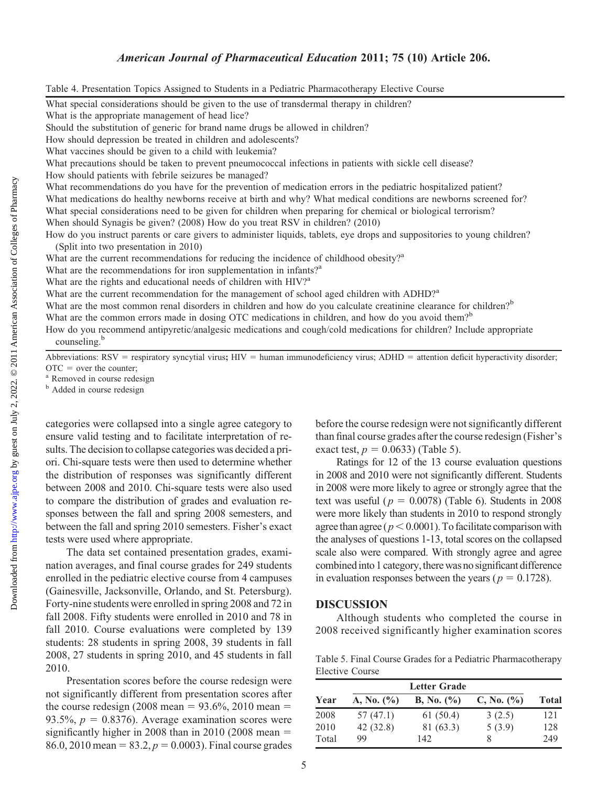<http://www.ajpe.org>

Downloaded from

## American Journal of Pharmaceutical Education 2011; 75 (10) Article 206.

Table 4. Presentation Topics Assigned to Students in a Pediatric Pharmacotherapy Elective Course

What special considerations should be given to the use of transdermal therapy in children?

What is the appropriate management of head lice?

Should the substitution of generic for brand name drugs be allowed in children?

How should depression be treated in children and adolescents?

What vaccines should be given to a child with leukemia?

What precautions should be taken to prevent pneumococcal infections in patients with sickle cell disease?

How should patients with febrile seizures be managed?

What recommendations do you have for the prevention of medication errors in the pediatric hospitalized patient?

What medications do healthy newborns receive at birth and why? What medical conditions are newborns screened for?

What special considerations need to be given for children when preparing for chemical or biological terrorism?

When should Synagis be given? (2008) How do you treat RSV in children? (2010)

How do you instruct parents or care givers to administer liquids, tablets, eye drops and suppositories to young children? (Split into two presentation in 2010)

What are the current recommendations for reducing the incidence of childhood obesity?<sup>a</sup>

What are the recommendations for iron supplementation in infants?<sup>a</sup>

What are the rights and educational needs of children with HIV?<sup>a</sup>

What are the current recommendation for the management of school aged children with ADHD?<sup>a</sup>

What are the most common renal disorders in children and how do you calculate creatinine clearance for children?<sup>b</sup>

What are the common errors made in dosing OTC medications in children, and how do you avoid them?<sup>b</sup>

How do you recommend antipyretic/analgesic medications and cough/cold medications for children? Include appropriate counseling.<sup>b</sup>

Abbreviations:  $RSV =$  respiratory syncytial virus;  $HIV =$  human immunodeficiency virus;  $ADHD =$  attention deficit hyperactivity disorder;  $\text{OTC}$  = over the counter;<br><sup>a</sup> Removed in course redesign

**b** Added in course redesign

categories were collapsed into a single agree category to ensure valid testing and to facilitate interpretation of results. The decision to collapse categories was decided a priori. Chi-square tests were then used to determine whether the distribution of responses was significantly different between 2008 and 2010. Chi-square tests were also used to compare the distribution of grades and evaluation responses between the fall and spring 2008 semesters, and between the fall and spring 2010 semesters. Fisher's exact tests were used where appropriate.

The data set contained presentation grades, examination averages, and final course grades for 249 students enrolled in the pediatric elective course from 4 campuses (Gainesville, Jacksonville, Orlando, and St. Petersburg). Forty-nine students were enrolled in spring 2008 and 72 in fall 2008. Fifty students were enrolled in 2010 and 78 in fall 2010. Course evaluations were completed by 139 students: 28 students in spring 2008, 39 students in fall 2008, 27 students in spring 2010, and 45 students in fall 2010.

Presentation scores before the course redesign were not significantly different from presentation scores after the course redesign (2008 mean =  $93.6\%$ , 2010 mean = 93.5%,  $p = 0.8376$ ). Average examination scores were significantly higher in 2008 than in 2010 (2008 mean  $=$ 86.0, 2010 mean =  $83.2$ ,  $p = 0.0003$ ). Final course grades before the course redesign were not significantly different than final course grades after the course redesign (Fisher's exact test,  $p = 0.0633$ ) (Table 5).

Ratings for 12 of the 13 course evaluation questions in 2008 and 2010 were not significantly different. Students in 2008 were more likely to agree or strongly agree that the text was useful ( $p = 0.0078$ ) (Table 6). Students in 2008 were more likely than students in 2010 to respond strongly agree than agree ( $p < 0.0001$ ). To facilitate comparison with the analyses of questions 1-13, total scores on the collapsed scale also were compared. With strongly agree and agree combined into 1 category, there was no significant difference in evaluation responses between the years ( $p = 0.1728$ ).

#### DISCUSSION

Although students who completed the course in 2008 received significantly higher examination scores

Table 5. Final Course Grades for a Pediatric Pharmacotherapy Elective Course

| Year  | A, No. $(\% )$ | <b>B</b> , No. $(\% )$ | C, No. (%) | <b>Total</b> |
|-------|----------------|------------------------|------------|--------------|
| 2008  | 57 (47.1)      | 61(50.4)               | 3(2.5)     | 121          |
| 2010  | 42 (32.8)      | 81 (63.3)              | 5(3.9)     | 128          |
| Total | 99             | 142                    | 8          | 249          |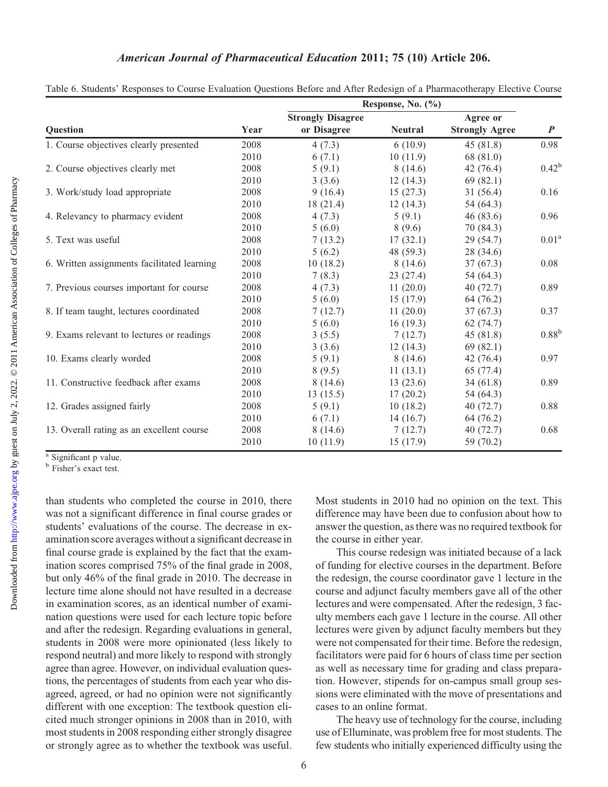|                                             |      | Response, No. (%)        |                |                       |                   |  |  |
|---------------------------------------------|------|--------------------------|----------------|-----------------------|-------------------|--|--|
|                                             |      | <b>Strongly Disagree</b> |                | Agree or              |                   |  |  |
| <b>Ouestion</b>                             | Year | or Disagree              | <b>Neutral</b> | <b>Strongly Agree</b> | $\boldsymbol{P}$  |  |  |
| 1. Course objectives clearly presented      | 2008 | 4(7.3)                   | 6(10.9)        | 45(81.8)              | 0.98              |  |  |
|                                             | 2010 | 6(7.1)                   | 10(11.9)       | 68 (81.0)             |                   |  |  |
| 2. Course objectives clearly met            | 2008 | 5(9.1)                   | 8(14.6)        | 42 (76.4)             | $0.42^{b}$        |  |  |
|                                             | 2010 | 3(3.6)                   | 12(14.3)       | 69(82.1)              |                   |  |  |
| 3. Work/study load appropriate              | 2008 | 9(16.4)                  | 15(27.3)       | 31(56.4)              | 0.16              |  |  |
|                                             | 2010 | 18(21.4)                 | 12(14.3)       | 54 (64.3)             |                   |  |  |
| 4. Relevancy to pharmacy evident            | 2008 | 4(7.3)                   | 5(9.1)         | 46(83.6)              | 0.96              |  |  |
|                                             | 2010 | 5(6.0)                   | 8(9.6)         | 70 (84.3)             |                   |  |  |
| 5. Text was useful                          | 2008 | 7(13.2)                  | 17(32.1)       | 29 (54.7)             | 0.01 <sup>a</sup> |  |  |
|                                             | 2010 | 5(6.2)                   | 48 (59.3)      | 28 (34.6)             |                   |  |  |
| 6. Written assignments facilitated learning | 2008 | 10(18.2)                 | 8(14.6)        | 37(67.3)              | 0.08              |  |  |
|                                             | 2010 | 7(8.3)                   | 23(27.4)       | 54 (64.3)             |                   |  |  |
| 7. Previous courses important for course    | 2008 | 4(7.3)                   | 11(20.0)       | 40(72.7)              | 0.89              |  |  |
|                                             | 2010 | 5(6.0)                   | 15(17.9)       | 64 (76.2)             |                   |  |  |
| 8. If team taught, lectures coordinated     | 2008 | 7(12.7)                  | 11(20.0)       | 37(67.3)              | 0.37              |  |  |
|                                             | 2010 | 5(6.0)                   | 16(19.3)       | 62(74.7)              |                   |  |  |
| 9. Exams relevant to lectures or readings   | 2008 | 3(5.5)                   | 7(12.7)        | 45(81.8)              | $0.88^{b}$        |  |  |
|                                             | 2010 | 3(3.6)                   | 12(14.3)       | 69(82.1)              |                   |  |  |
| 10. Exams clearly worded                    | 2008 | 5(9.1)                   | 8(14.6)        | 42(76.4)              | 0.97              |  |  |
|                                             | 2010 | 8(9.5)                   | 11(13.1)       | 65 (77.4)             |                   |  |  |
| 11. Constructive feedback after exams       | 2008 | 8(14.6)                  | 13(23.6)       | 34(61.8)              | 0.89              |  |  |
|                                             | 2010 | 13(15.5)                 | 17(20.2)       | 54 (64.3)             |                   |  |  |
| 12. Grades assigned fairly                  | 2008 | 5(9.1)                   | 10(18.2)       | 40(72.7)              | 0.88              |  |  |
|                                             | 2010 | 6(7.1)                   | 14(16.7)       | 64 (76.2)             |                   |  |  |
| 13. Overall rating as an excellent course   | 2008 | 8(14.6)                  | 7(12.7)        | 40(72.7)              | 0.68              |  |  |
|                                             | 2010 | 10(11.9)                 | 15(17.9)       | 59 (70.2)             |                   |  |  |

Table 6. Students' Responses to Course Evaluation Questions Before and After Redesign of a Pharmacotherapy Elective Course

<sup>a</sup> Significant p value.

**b** Fisher's exact test.

than students who completed the course in 2010, there was not a significant difference in final course grades or students' evaluations of the course. The decrease in examination score averages without a significant decrease in final course grade is explained by the fact that the examination scores comprised 75% of the final grade in 2008, but only 46% of the final grade in 2010. The decrease in lecture time alone should not have resulted in a decrease in examination scores, as an identical number of examination questions were used for each lecture topic before and after the redesign. Regarding evaluations in general, students in 2008 were more opinionated (less likely to respond neutral) and more likely to respond with strongly agree than agree. However, on individual evaluation questions, the percentages of students from each year who disagreed, agreed, or had no opinion were not significantly different with one exception: The textbook question elicited much stronger opinions in 2008 than in 2010, with most students in 2008 responding either strongly disagree or strongly agree as to whether the textbook was useful.

Most students in 2010 had no opinion on the text. This difference may have been due to confusion about how to answer the question, as there was no required textbook for the course in either year.

This course redesign was initiated because of a lack of funding for elective courses in the department. Before the redesign, the course coordinator gave 1 lecture in the course and adjunct faculty members gave all of the other lectures and were compensated. After the redesign, 3 faculty members each gave 1 lecture in the course. All other lectures were given by adjunct faculty members but they were not compensated for their time. Before the redesign, facilitators were paid for 6 hours of class time per section as well as necessary time for grading and class preparation. However, stipends for on-campus small group sessions were eliminated with the move of presentations and cases to an online format.

The heavy use of technology for the course, including use of Elluminate, was problem free for most students. The few students who initially experienced difficulty using the